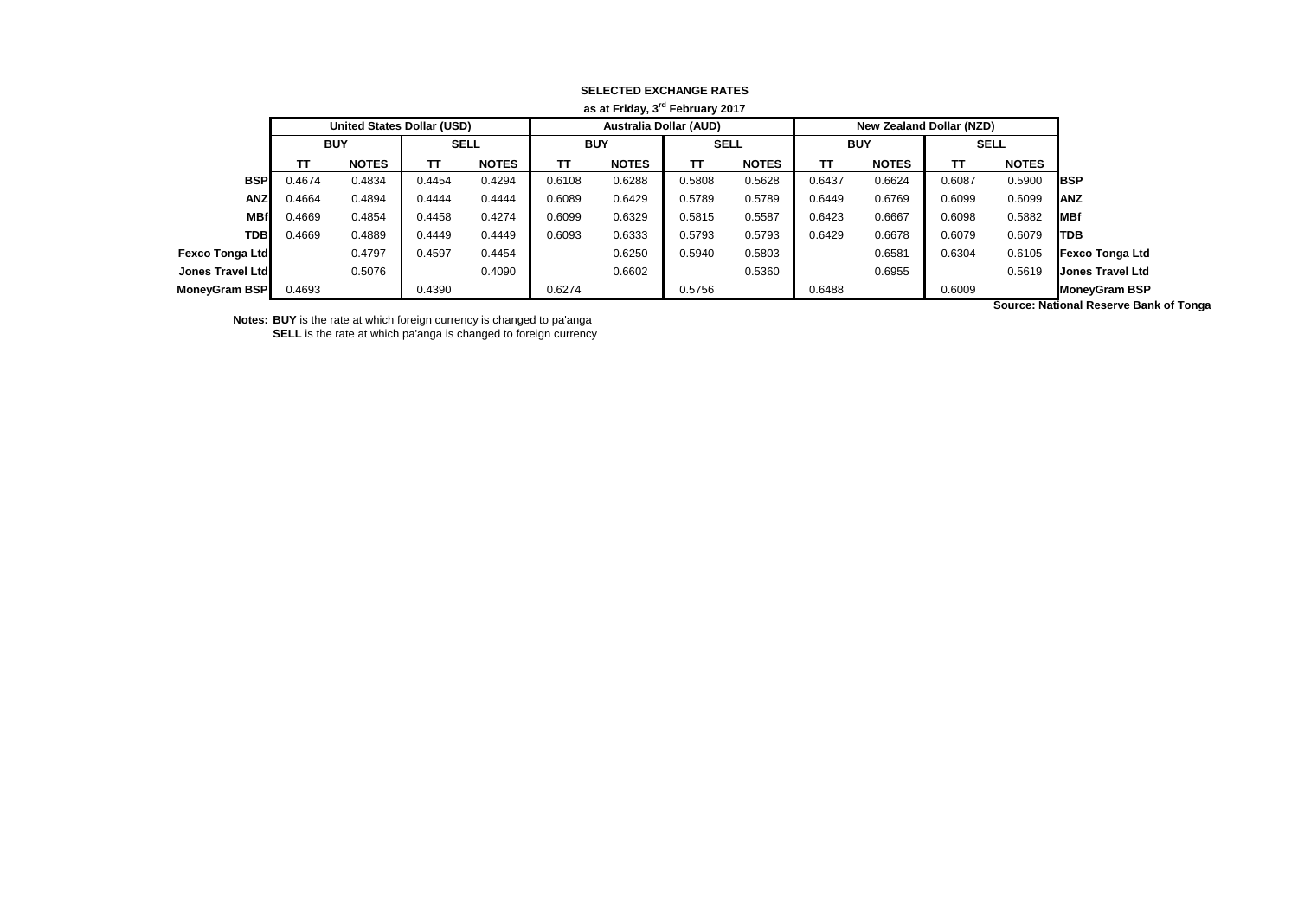| as at Friday, 3 <sup>rd</sup> February 2017 |            |                                   |             |              |            |                               |             |              |            |                          |             |              |                               |
|---------------------------------------------|------------|-----------------------------------|-------------|--------------|------------|-------------------------------|-------------|--------------|------------|--------------------------|-------------|--------------|-------------------------------|
|                                             |            | <b>United States Dollar (USD)</b> |             |              |            | <b>Australia Dollar (AUD)</b> |             |              |            | New Zealand Dollar (NZD) |             |              |                               |
|                                             | <b>BUY</b> |                                   | <b>SELL</b> |              | <b>BUY</b> |                               | <b>SELL</b> |              | <b>BUY</b> |                          | <b>SELL</b> |              |                               |
|                                             | TΤ         | <b>NOTES</b>                      | тт          | <b>NOTES</b> | TΤ         | <b>NOTES</b>                  | TΤ          | <b>NOTES</b> | TΤ         | <b>NOTES</b>             | тт          | <b>NOTES</b> |                               |
| <b>BSP</b>                                  | 0.4674     | 0.4834                            | 0.4454      | 0.4294       | 0.6108     | 0.6288                        | 0.5808      | 0.5628       | 0.6437     | 0.6624                   | 0.6087      | 0.5900       | <b>IBSP</b>                   |
| <b>ANZ</b>                                  | 0.4664     | 0.4894                            | 0.4444      | 0.4444       | 0.6089     | 0.6429                        | 0.5789      | 0.5789       | 0.6449     | 0.6769                   | 0.6099      | 0.6099       | <b>ANZ</b>                    |
| <b>MBf</b>                                  | 0.4669     | 0.4854                            | 0.4458      | 0.4274       | 0.6099     | 0.6329                        | 0.5815      | 0.5587       | 0.6423     | 0.6667                   | 0.6098      | 0.5882       | <b>IMBf</b>                   |
| <b>TDBI</b>                                 | 0.4669     | 0.4889                            | 0.4449      | 0.4449       | 0.6093     | 0.6333                        | 0.5793      | 0.5793       | 0.6429     | 0.6678                   | 0.6079      | 0.6079       | <b>ITDB</b>                   |
| <b>Fexco Tonga Ltd</b>                      |            | 0.4797                            | 0.4597      | 0.4454       |            | 0.6250                        | 0.5940      | 0.5803       |            | 0.6581                   | 0.6304      | 0.6105       | <b>Fexco Tonga Ltd</b>        |
| <b>Jones Travel Ltd</b>                     |            | 0.5076                            |             | 0.4090       |            | 0.6602                        |             | 0.5360       |            | 0.6955                   |             | 0.5619       | <b>Jones Travel Ltd</b>       |
| <b>MoneyGram BSP</b>                        | 0.4693     |                                   | 0.4390      |              | 0.6274     |                               | 0.5756      |              | 0.6488     |                          | 0.6009      |              | <b>MoneyGram BSP</b>          |
|                                             |            |                                   |             |              |            |                               |             |              |            |                          |             |              | Correspondent Desemio Depleta |

**Notes: BUY** is the rate at which foreign currency is changed to pa'anga

**SELL** is the rate at which pa'anga is changed to foreign currency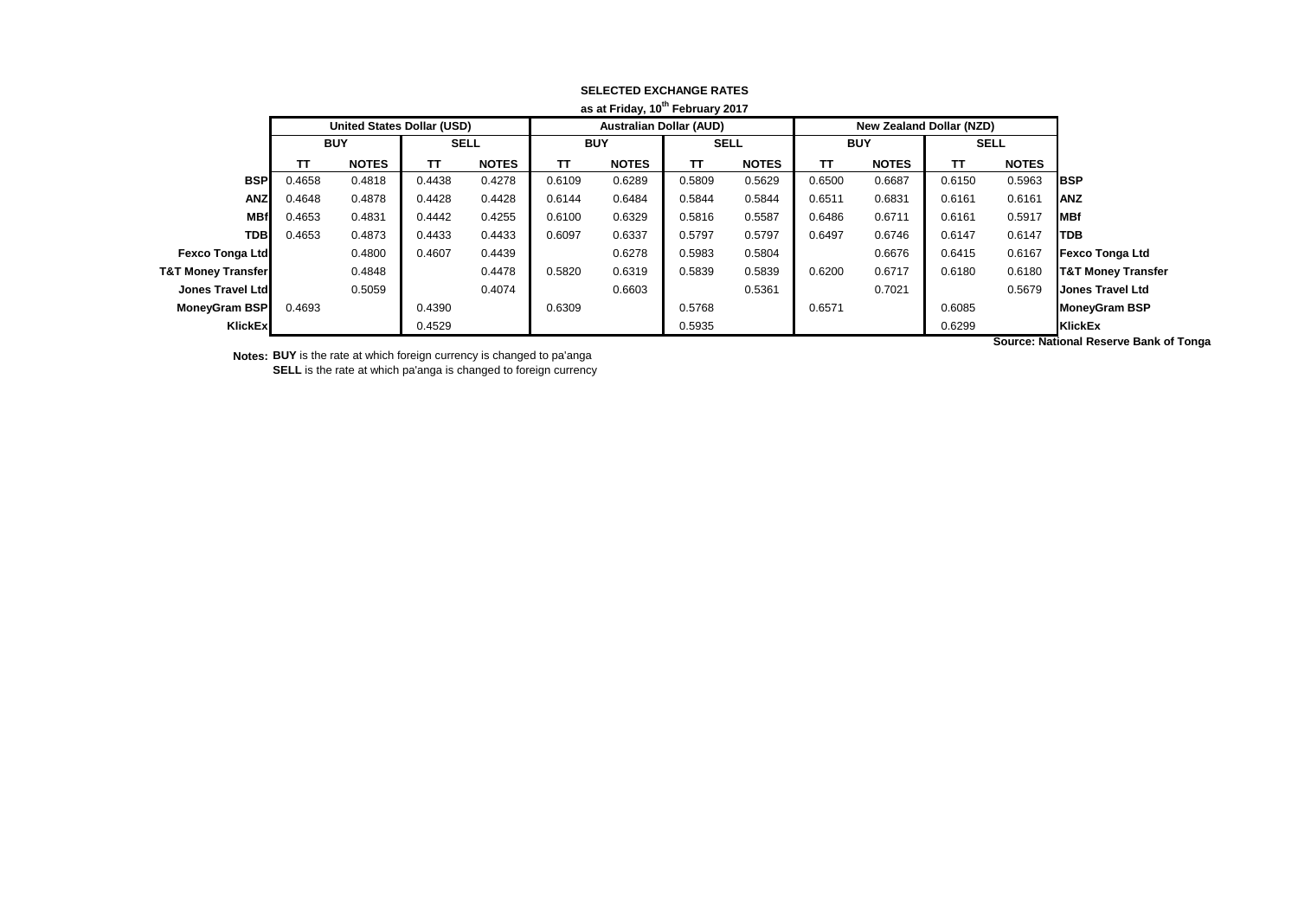| as at Friday, 10 <sup>th</sup> February 2017 |                                   |              |        |              |                                |              |             |              |            |                                 |             |              |                               |
|----------------------------------------------|-----------------------------------|--------------|--------|--------------|--------------------------------|--------------|-------------|--------------|------------|---------------------------------|-------------|--------------|-------------------------------|
|                                              | <b>United States Dollar (USD)</b> |              |        |              | <b>Australian Dollar (AUD)</b> |              |             |              |            | <b>New Zealand Dollar (NZD)</b> |             |              |                               |
|                                              | <b>BUY</b>                        |              | SELL   |              | <b>BUY</b>                     |              | <b>SELL</b> |              | <b>BUY</b> |                                 | <b>SELL</b> |              |                               |
|                                              | TΤ                                | <b>NOTES</b> | TΤ     | <b>NOTES</b> | TΤ                             | <b>NOTES</b> | TΤ          | <b>NOTES</b> | TΤ         | <b>NOTES</b>                    | TΤ          | <b>NOTES</b> |                               |
| <b>BSP</b>                                   | 0.4658                            | 0.4818       | 0.4438 | 0.4278       | 0.6109                         | 0.6289       | 0.5809      | 0.5629       | 0.6500     | 0.6687                          | 0.6150      | 0.5963       | <b>IBSP</b>                   |
| <b>ANZ</b>                                   | 0.4648                            | 0.4878       | 0.4428 | 0.4428       | 0.6144                         | 0.6484       | 0.5844      | 0.5844       | 0.6511     | 0.6831                          | 0.6161      | 0.6161       | <b>ANZ</b>                    |
| <b>MBf</b>                                   | 0.4653                            | 0.4831       | 0.4442 | 0.4255       | 0.6100                         | 0.6329       | 0.5816      | 0.5587       | 0.6486     | 0.6711                          | 0.6161      | 0.5917       | MBf                           |
| <b>TDB</b>                                   | 0.4653                            | 0.4873       | 0.4433 | 0.4433       | 0.6097                         | 0.6337       | 0.5797      | 0.5797       | 0.6497     | 0.6746                          | 0.6147      | 0.6147       | <b>TDB</b>                    |
| <b>Fexco Tonga Ltd</b>                       |                                   | 0.4800       | 0.4607 | 0.4439       |                                | 0.6278       | 0.5983      | 0.5804       |            | 0.6676                          | 0.6415      | 0.6167       | <b>Fexco Tonga Ltd</b>        |
| <b>T&amp;T Money Transfer</b>                |                                   | 0.4848       |        | 0.4478       | 0.5820                         | 0.6319       | 0.5839      | 0.5839       | 0.6200     | 0.6717                          | 0.6180      | 0.6180       | <b>T&amp;T Money Transfer</b> |
| Jones Travel Ltd                             |                                   | 0.5059       |        | 0.4074       |                                | 0.6603       |             | 0.5361       |            | 0.7021                          |             | 0.5679       | <b>Jones Travel Ltd</b>       |
| <b>MoneyGram BSP</b>                         | 0.4693                            |              | 0.4390 |              | 0.6309                         |              | 0.5768      |              | 0.6571     |                                 | 0.6085      |              | MoneyGram BSP                 |
| <b>KlickEx</b>                               |                                   |              | 0.4529 |              |                                |              | 0.5935      |              |            |                                 | 0.6299      |              | <b>KlickEx</b>                |

**Notes: BUY** is the rate at which foreign currency is changed to pa'anga

**SELL** is the rate at which pa'anga is changed to foreign currency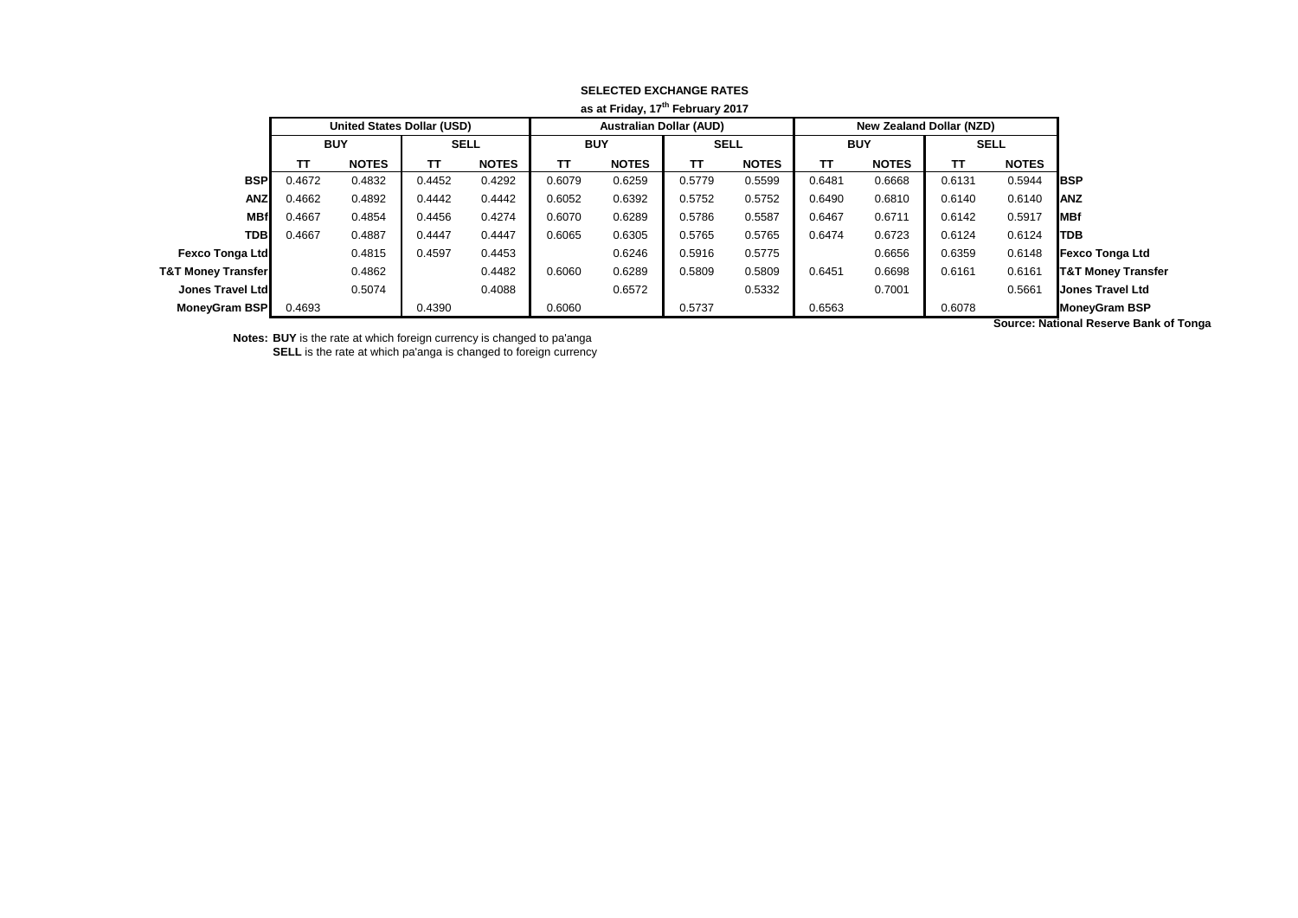|                               | as at Friday, 17th February 2017  |              |             |              |            |                                |             |              |            |                          |             |              |                               |
|-------------------------------|-----------------------------------|--------------|-------------|--------------|------------|--------------------------------|-------------|--------------|------------|--------------------------|-------------|--------------|-------------------------------|
|                               | <b>United States Dollar (USD)</b> |              |             |              |            | <b>Australian Dollar (AUD)</b> |             |              |            | New Zealand Dollar (NZD) |             |              |                               |
|                               | <b>BUY</b>                        |              | <b>SELL</b> |              | <b>BUY</b> |                                | <b>SELL</b> |              | <b>BUY</b> |                          | <b>SELL</b> |              |                               |
|                               | TΤ                                | <b>NOTES</b> | TΤ          | <b>NOTES</b> | TΤ         | <b>NOTES</b>                   | π           | <b>NOTES</b> | тτ         | <b>NOTES</b>             | TΤ          | <b>NOTES</b> |                               |
| <b>BSP</b>                    | 0.4672                            | 0.4832       | 0.4452      | 0.4292       | 0.6079     | 0.6259                         | 0.5779      | 0.5599       | 0.6481     | 0.6668                   | 0.6131      | 0.5944       | <b>I</b> BSP                  |
| <b>ANZ</b>                    | 0.4662                            | 0.4892       | 0.4442      | 0.4442       | 0.6052     | 0.6392                         | 0.5752      | 0.5752       | 0.6490     | 0.6810                   | 0.6140      | 0.6140       | <b>ANZ</b>                    |
| <b>MBf</b>                    | 0.4667                            | 0.4854       | 0.4456      | 0.4274       | 0.6070     | 0.6289                         | 0.5786      | 0.5587       | 0.6467     | 0.6711                   | 0.6142      | 0.5917       | <b>MBf</b>                    |
| <b>TDB</b>                    | 0.4667                            | 0.4887       | 0.4447      | 0.4447       | 0.6065     | 0.6305                         | 0.5765      | 0.5765       | 0.6474     | 0.6723                   | 0.6124      | 0.6124       | <b>TDB</b>                    |
| <b>Fexco Tonga Ltd</b>        |                                   | 0.4815       | 0.4597      | 0.4453       |            | 0.6246                         | 0.5916      | 0.5775       |            | 0.6656                   | 0.6359      | 0.6148       | <b>Fexco Tonga Ltd</b>        |
| <b>T&amp;T Money Transfer</b> |                                   | 0.4862       |             | 0.4482       | 0.6060     | 0.6289                         | 0.5809      | 0.5809       | 0.6451     | 0.6698                   | 0.6161      | 0.6161       | <b>T&amp;T Money Transfer</b> |
| Jones Travel Ltd              |                                   | 0.5074       |             | 0.4088       |            | 0.6572                         |             | 0.5332       |            | 0.7001                   |             | 0.5661       | <b>Jones Travel Ltd</b>       |
| MoneyGram BSP                 | 0.4693                            |              | 0.4390      |              | 0.6060     |                                | 0.5737      |              | 0.6563     |                          | 0.6078      | .            | <b>MoneyGram BSP</b>          |

**Notes: BUY** is the rate at which foreign currency is changed to pa'anga

**SELL** is the rate at which pa'anga is changed to foreign currency